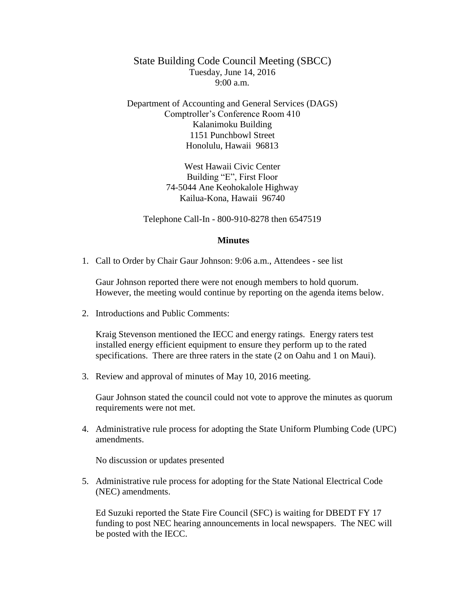State Building Code Council Meeting (SBCC) Tuesday, June 14, 2016  $9:00 a.m.$ 

Department of Accounting and General Services (DAGS) Comptroller's Conference Room 410 Kalanimoku Building 1151 Punchbowl Street Honolulu, Hawaii 96813

> West Hawaii Civic Center Building "E", First Floor 74-5044 Ane Keohokalole Highway Kailua-Kona, Hawaii 96740

Telephone Call-In - 800-910-8278 then 6547519

## **Minutes**

1. Call to Order by Chair Gaur Johnson: 9:06 a.m., Attendees - see list

Gaur Johnson reported there were not enough members to hold quorum. However, the meeting would continue by reporting on the agenda items below.

2. Introductions and Public Comments:

Kraig Stevenson mentioned the IECC and energy ratings. Energy raters test installed energy efficient equipment to ensure they perform up to the rated specifications. There are three raters in the state (2 on Oahu and 1 on Maui).

3. Review and approval of minutes of May 10, 2016 meeting.

Gaur Johnson stated the council could not vote to approve the minutes as quorum requirements were not met.

4. Administrative rule process for adopting the State Uniform Plumbing Code (UPC) amendments.

No discussion or updates presented

5. Administrative rule process for adopting for the State National Electrical Code (NEC) amendments.

Ed Suzuki reported the State Fire Council (SFC) is waiting for DBEDT FY 17 funding to post NEC hearing announcements in local newspapers. The NEC will be posted with the IECC.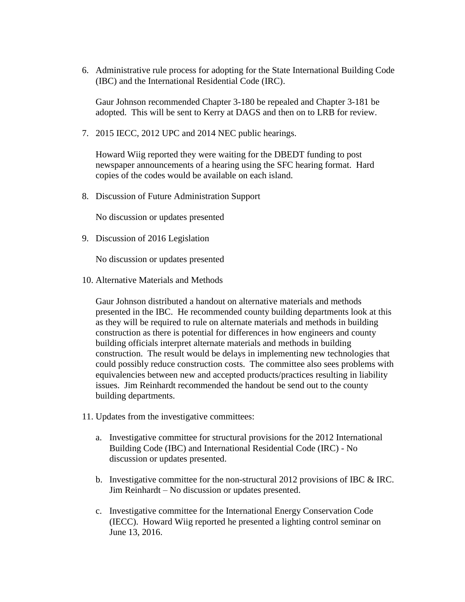6. Administrative rule process for adopting for the State International Building Code (IBC) and the International Residential Code (IRC).

Gaur Johnson recommended Chapter 3-180 be repealed and Chapter 3-181 be adopted. This will be sent to Kerry at DAGS and then on to LRB for review.

7. 2015 IECC, 2012 UPC and 2014 NEC public hearings.

Howard Wiig reported they were waiting for the DBEDT funding to post newspaper announcements of a hearing using the SFC hearing format. Hard copies of the codes would be available on each island.

8. Discussion of Future Administration Support

No discussion or updates presented

9. Discussion of 2016 Legislation

No discussion or updates presented

10. Alternative Materials and Methods

Gaur Johnson distributed a handout on alternative materials and methods presented in the IBC. He recommended county building departments look at this as they will be required to rule on alternate materials and methods in building construction as there is potential for differences in how engineers and county building officials interpret alternate materials and methods in building construction. The result would be delays in implementing new technologies that could possibly reduce construction costs. The committee also sees problems with equivalencies between new and accepted products/practices resulting in liability issues. Jim Reinhardt recommended the handout be send out to the county building departments.

- 11. Updates from the investigative committees:
	- a. Investigative committee for structural provisions for the 2012 International Building Code (IBC) and International Residential Code (IRC) - No discussion or updates presented.
	- b. Investigative committee for the non-structural 2012 provisions of IBC & IRC. Jim Reinhardt – No discussion or updates presented.
	- c. Investigative committee for the International Energy Conservation Code (IECC). Howard Wiig reported he presented a lighting control seminar on June 13, 2016.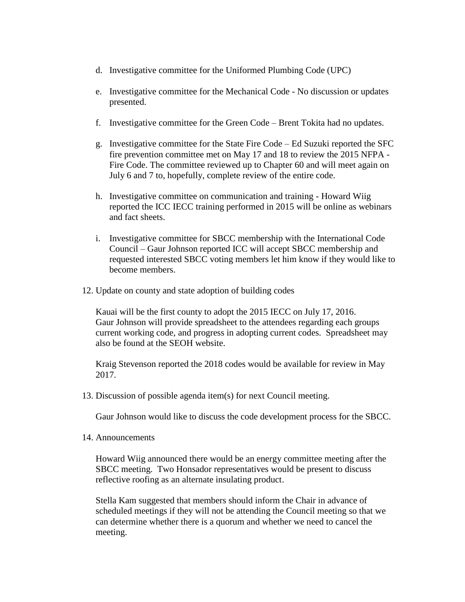- d. Investigative committee for the Uniformed Plumbing Code (UPC)
- e. Investigative committee for the Mechanical Code No discussion or updates presented.
- f. Investigative committee for the Green Code Brent Tokita had no updates.
- g. Investigative committee for the State Fire Code Ed Suzuki reported the SFC fire prevention committee met on May 17 and 18 to review the 2015 NFPA - Fire Code. The committee reviewed up to Chapter 60 and will meet again on July 6 and 7 to, hopefully, complete review of the entire code.
- h. Investigative committee on communication and training Howard Wiig reported the ICC IECC training performed in 2015 will be online as webinars and fact sheets.
- i. Investigative committee for SBCC membership with the International Code Council – Gaur Johnson reported ICC will accept SBCC membership and requested interested SBCC voting members let him know if they would like to become members.
- 12. Update on county and state adoption of building codes

Kauai will be the first county to adopt the 2015 IECC on July 17, 2016. Gaur Johnson will provide spreadsheet to the attendees regarding each groups current working code, and progress in adopting current codes. Spreadsheet may also be found at the SEOH website.

Kraig Stevenson reported the 2018 codes would be available for review in May 2017.

13. Discussion of possible agenda item(s) for next Council meeting.

Gaur Johnson would like to discuss the code development process for the SBCC.

14. Announcements

Howard Wiig announced there would be an energy committee meeting after the SBCC meeting. Two Honsador representatives would be present to discuss reflective roofing as an alternate insulating product.

Stella Kam suggested that members should inform the Chair in advance of scheduled meetings if they will not be attending the Council meeting so that we can determine whether there is a quorum and whether we need to cancel the meeting.